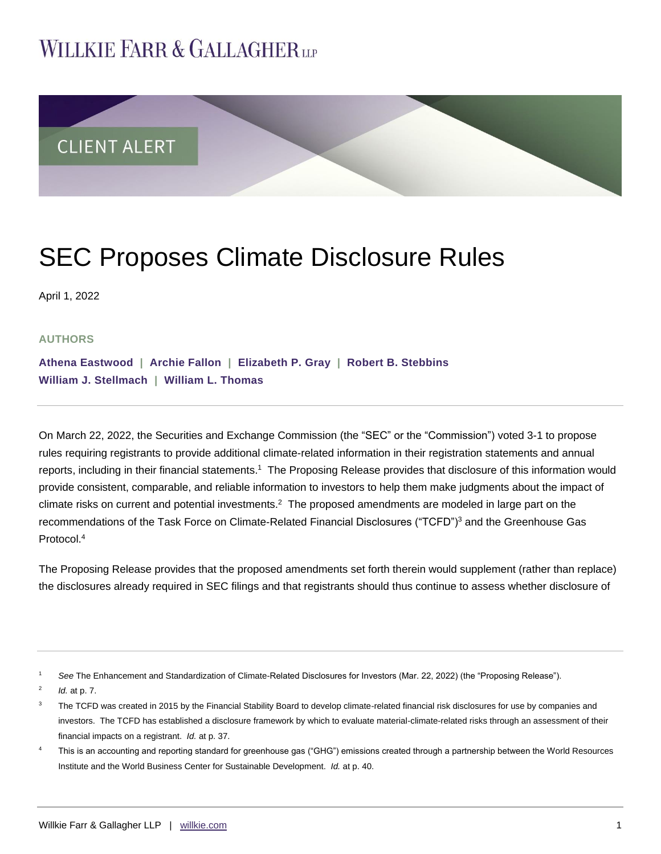# **WILLKIE FARR & GALLAGHERUP**



# SEC Proposes Climate Disclosure Rules

April 1, 2022

## **AUTHORS**

**[Athena Eastwood](https://www.willkie.com/professionals/e/eastwood-athena) | [Archie Fallon](https://www.willkie.com/professionals/f/fallon-archie) | [Elizabeth P. Gray](https://www.willkie.com/professionals/g/gray-elizabeth-p) | [Robert B. Stebbins](https://www.willkie.com/professionals/s/stebbins-robert) [William J. Stellmach](https://www.willkie.com/professionals/s/stellmach-william) | William L. [Thomas](https://www.willkie.com/professionals/t/thomas-william-l)**

On March 22, 2022, the Securities and Exchange Commission (the "SEC" or the "Commission") voted 3-1 to propose rules requiring registrants to provide additional climate-related information in their registration statements and annual reports, including in their financial statements.<sup>1</sup> The Proposing Release provides that disclosure of this information would provide consistent, comparable, and reliable information to investors to help them make judgments about the impact of climate risks on current and potential investments.<sup>2</sup> The proposed amendments are modeled in large part on the recommendations of the Task Force on Climate-Related Financial Disclosures ("TCFD")<sup>3</sup> and the Greenhouse Gas Protocol<sup>4</sup>

The Proposing Release provides that the proposed amendments set forth therein would supplement (rather than replace) the disclosures already required in SEC filings and that registrants should thus continue to assess whether disclosure of

2 *Id.* at p. 7.

See The Enhancement and Standardization of Climate-Related Disclosures for Investors (Mar. 22, 2022) (the "Proposing Release").

<sup>&</sup>lt;sup>3</sup> The TCFD was created in 2015 by the Financial Stability Board to develop climate-related financial risk disclosures for use by companies and investors. The TCFD has established a disclosure framework by which to evaluate material-climate-related risks through an assessment of their financial impacts on a registrant. *Id.* at p. 37.

<sup>4</sup> This is an accounting and reporting standard for greenhouse gas ("GHG") emissions created through a partnership between the World Resources Institute and the World Business Center for Sustainable Development. *Id.* at p. 40.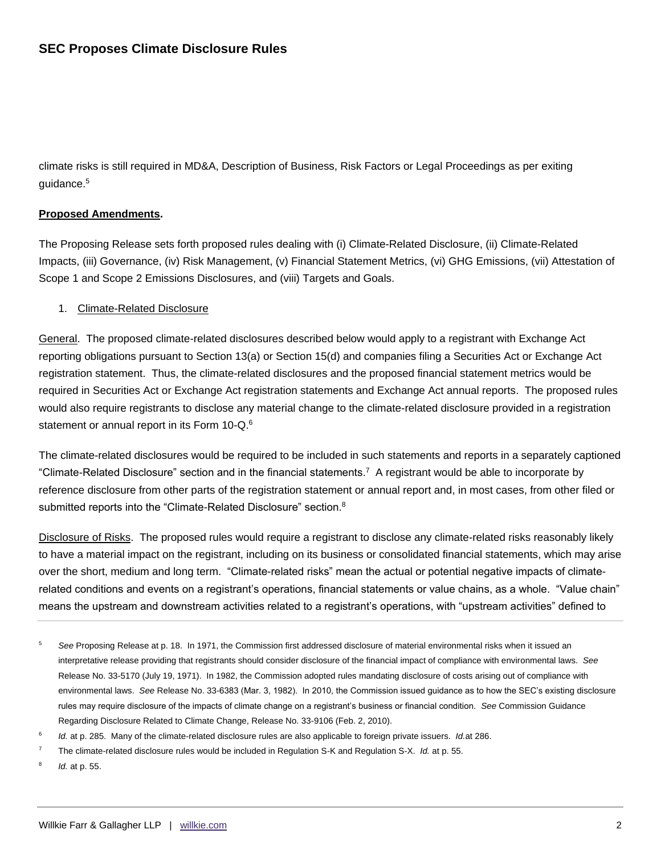climate risks is still required in MD&A, Description of Business, Risk Factors or Legal Proceedings as per exiting guidance.<sup>5</sup>

## **Proposed Amendments.**

The Proposing Release sets forth proposed rules dealing with (i) Climate-Related Disclosure, (ii) Climate-Related Impacts, (iii) Governance, (iv) Risk Management, (v) Financial Statement Metrics, (vi) GHG Emissions, (vii) Attestation of Scope 1 and Scope 2 Emissions Disclosures, and (viii) Targets and Goals.

## 1. Climate-Related Disclosure

General. The proposed climate-related disclosures described below would apply to a registrant with Exchange Act reporting obligations pursuant to Section 13(a) or Section 15(d) and companies filing a Securities Act or Exchange Act registration statement. Thus, the climate-related disclosures and the proposed financial statement metrics would be required in Securities Act or Exchange Act registration statements and Exchange Act annual reports. The proposed rules would also require registrants to disclose any material change to the climate-related disclosure provided in a registration statement or annual report in its Form 10-Q.<sup>6</sup>

The climate-related disclosures would be required to be included in such statements and reports in a separately captioned "Climate-Related Disclosure" section and in the financial statements.<sup>7</sup> A registrant would be able to incorporate by reference disclosure from other parts of the registration statement or annual report and, in most cases, from other filed or submitted reports into the "Climate-Related Disclosure" section.<sup>8</sup>

Disclosure of Risks. The proposed rules would require a registrant to disclose any climate-related risks reasonably likely to have a material impact on the registrant, including on its business or consolidated financial statements, which may arise over the short, medium and long term. "Climate-related risks" mean the actual or potential negative impacts of climaterelated conditions and events on a registrant's operations, financial statements or value chains, as a whole. "Value chain" means the upstream and downstream activities related to a registrant's operations, with "upstream activities" defined to

- 5 *See* Proposing Release at p. 18. In 1971, the Commission first addressed disclosure of material environmental risks when it issued an interpretative release providing that registrants should consider disclosure of the financial impact of compliance with environmental laws. *See*  Release No. 33-5170 (July 19, 1971). In 1982, the Commission adopted rules mandating disclosure of costs arising out of compliance with environmental laws. *See* Release No. 33-6383 (Mar. 3, 1982). In 2010, the Commission issued guidance as to how the SEC's existing disclosure rules may require disclosure of the impacts of climate change on a registrant's business or financial condition. *See* Commission Guidance Regarding Disclosure Related to Climate Change, Release No. 33-9106 (Feb. 2, 2010).
- 6 *Id.* at p. 285. Many of the climate-related disclosure rules are also applicable to foreign private issuers. *Id.*at 286.
- 7 The climate-related disclosure rules would be included in Regulation S-K and Regulation S-X. *Id.* at p. 55.
- 8 *Id.* at p. 55.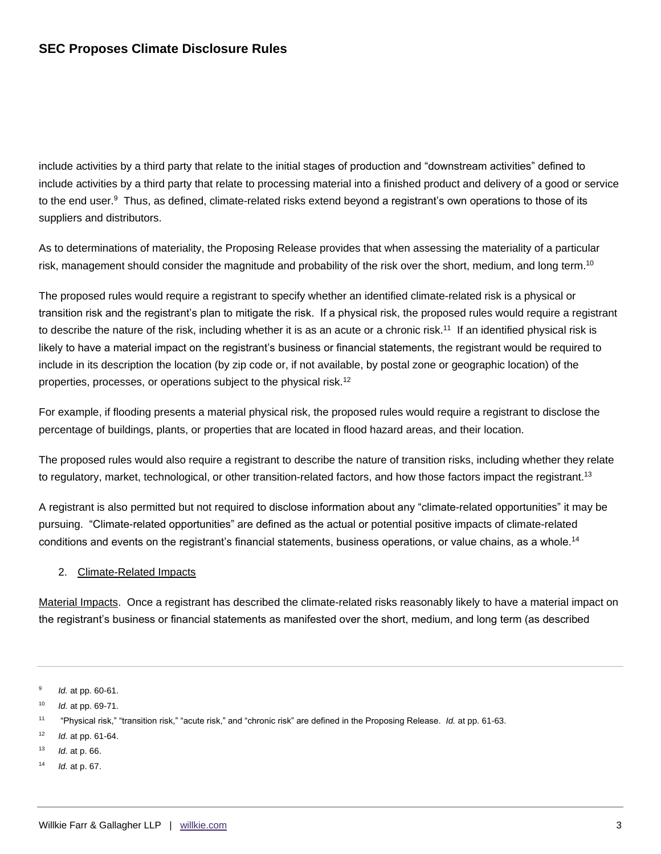include activities by a third party that relate to the initial stages of production and "downstream activities" defined to include activities by a third party that relate to processing material into a finished product and delivery of a good or service to the end user.<sup>9</sup> Thus, as defined, climate-related risks extend beyond a registrant's own operations to those of its suppliers and distributors.

As to determinations of materiality, the Proposing Release provides that when assessing the materiality of a particular risk, management should consider the magnitude and probability of the risk over the short, medium, and long term.<sup>10</sup>

The proposed rules would require a registrant to specify whether an identified climate-related risk is a physical or transition risk and the registrant's plan to mitigate the risk. If a physical risk, the proposed rules would require a registrant to describe the nature of the risk, including whether it is as an acute or a chronic risk.<sup>11</sup> If an identified physical risk is likely to have a material impact on the registrant's business or financial statements, the registrant would be required to include in its description the location (by zip code or, if not available, by postal zone or geographic location) of the properties, processes, or operations subject to the physical risk.<sup>12</sup>

For example, if flooding presents a material physical risk, the proposed rules would require a registrant to disclose the percentage of buildings, plants, or properties that are located in flood hazard areas, and their location.

The proposed rules would also require a registrant to describe the nature of transition risks, including whether they relate to regulatory, market, technological, or other transition-related factors, and how those factors impact the registrant.<sup>13</sup>

A registrant is also permitted but not required to disclose information about any "climate-related opportunities" it may be pursuing. "Climate-related opportunities" are defined as the actual or potential positive impacts of climate-related conditions and events on the registrant's financial statements, business operations, or value chains, as a whole.<sup>14</sup>

## 2. Climate-Related Impacts

Material Impacts. Once a registrant has described the climate-related risks reasonably likely to have a material impact on the registrant's business or financial statements as manifested over the short, medium, and long term (as described

14 *Id.* at p. 67.

<sup>9</sup> *Id.* at pp. 60-61.

<sup>10</sup> *Id.* at pp. 69-71.

<sup>11</sup> "Physical risk," "transition risk," "acute risk," and "chronic risk" are defined in the Proposing Release. *Id.* at pp. 61-63.

<sup>12</sup> *Id.* at pp. 61-64.

<sup>13</sup> *Id.* at p. 66.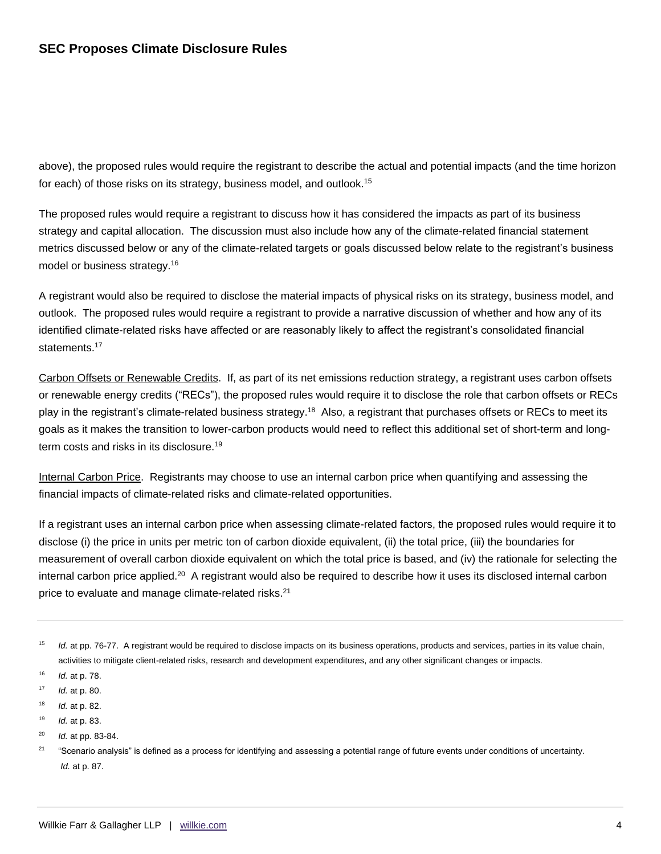above), the proposed rules would require the registrant to describe the actual and potential impacts (and the time horizon for each) of those risks on its strategy, business model, and outlook.<sup>15</sup>

The proposed rules would require a registrant to discuss how it has considered the impacts as part of its business strategy and capital allocation. The discussion must also include how any of the climate-related financial statement metrics discussed below or any of the climate-related targets or goals discussed below relate to the registrant's business model or business strategy.<sup>16</sup>

A registrant would also be required to disclose the material impacts of physical risks on its strategy, business model, and outlook. The proposed rules would require a registrant to provide a narrative discussion of whether and how any of its identified climate-related risks have affected or are reasonably likely to affect the registrant's consolidated financial statements.<sup>17</sup>

Carbon Offsets or Renewable Credits. If, as part of its net emissions reduction strategy, a registrant uses carbon offsets or renewable energy credits ("RECs"), the proposed rules would require it to disclose the role that carbon offsets or RECs play in the registrant's climate-related business strategy.<sup>18</sup> Also, a registrant that purchases offsets or RECs to meet its goals as it makes the transition to lower-carbon products would need to reflect this additional set of short-term and longterm costs and risks in its disclosure.<sup>19</sup>

Internal Carbon Price. Registrants may choose to use an internal carbon price when quantifying and assessing the financial impacts of climate-related risks and climate-related opportunities.

If a registrant uses an internal carbon price when assessing climate-related factors, the proposed rules would require it to disclose (i) the price in units per metric ton of carbon dioxide equivalent, (ii) the total price, (iii) the boundaries for measurement of overall carbon dioxide equivalent on which the total price is based, and (iv) the rationale for selecting the internal carbon price applied.<sup>20</sup> A registrant would also be required to describe how it uses its disclosed internal carbon price to evaluate and manage climate-related risks.<sup>21</sup>

- 19 *Id.* at p. 83.
- 20 *Id.* at pp. 83-84.

<sup>15</sup> *Id.* at pp. 76-77. A registrant would be required to disclose impacts on its business operations, products and services, parties in its value chain, activities to mitigate client-related risks, research and development expenditures, and any other significant changes or impacts.

<sup>16</sup> *Id.* at p. 78.

<sup>17</sup> *Id.* at p. 80.

<sup>18</sup> *Id.* at p. 82.

<sup>21</sup> "Scenario analysis" is defined as a process for identifying and assessing a potential range of future events under conditions of uncertainty. *Id.* at p. 87.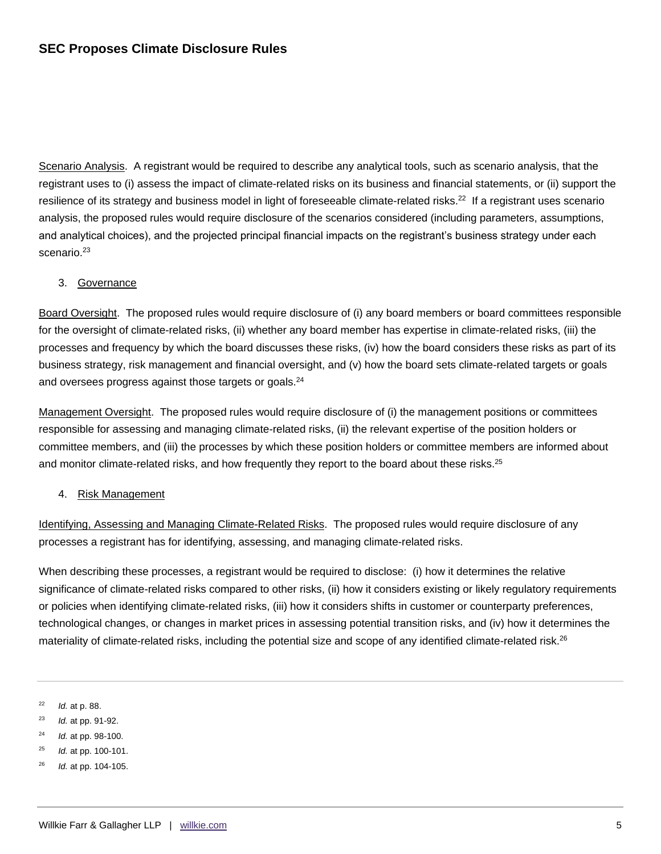Scenario Analysis. A registrant would be required to describe any analytical tools, such as scenario analysis, that the registrant uses to (i) assess the impact of climate-related risks on its business and financial statements, or (ii) support the resilience of its strategy and business model in light of foreseeable climate-related risks.<sup>22</sup> If a registrant uses scenario analysis, the proposed rules would require disclosure of the scenarios considered (including parameters, assumptions, and analytical choices), and the projected principal financial impacts on the registrant's business strategy under each scenario.<sup>23</sup>

## 3. Governance

Board Oversight. The proposed rules would require disclosure of (i) any board members or board committees responsible for the oversight of climate-related risks, (ii) whether any board member has expertise in climate-related risks, (iii) the processes and frequency by which the board discusses these risks, (iv) how the board considers these risks as part of its business strategy, risk management and financial oversight, and (v) how the board sets climate-related targets or goals and oversees progress against those targets or goals.<sup>24</sup>

Management Oversight. The proposed rules would require disclosure of (i) the management positions or committees responsible for assessing and managing climate-related risks, (ii) the relevant expertise of the position holders or committee members, and (iii) the processes by which these position holders or committee members are informed about and monitor climate-related risks, and how frequently they report to the board about these risks.<sup>25</sup>

## 4. Risk Management

Identifying, Assessing and Managing Climate-Related Risks. The proposed rules would require disclosure of any processes a registrant has for identifying, assessing, and managing climate-related risks.

When describing these processes, a registrant would be required to disclose: (i) how it determines the relative significance of climate-related risks compared to other risks, (ii) how it considers existing or likely regulatory requirements or policies when identifying climate-related risks, (iii) how it considers shifts in customer or counterparty preferences, technological changes, or changes in market prices in assessing potential transition risks, and (iv) how it determines the materiality of climate-related risks, including the potential size and scope of any identified climate-related risk.<sup>26</sup>

22 *Id.* at p. 88.

- 23 *Id.* at pp. 91-92.
- 24 *Id.* at pp. 98-100.
- 25 *Id.* at pp. 100-101.
- 26 *Id.* at pp. 104-105.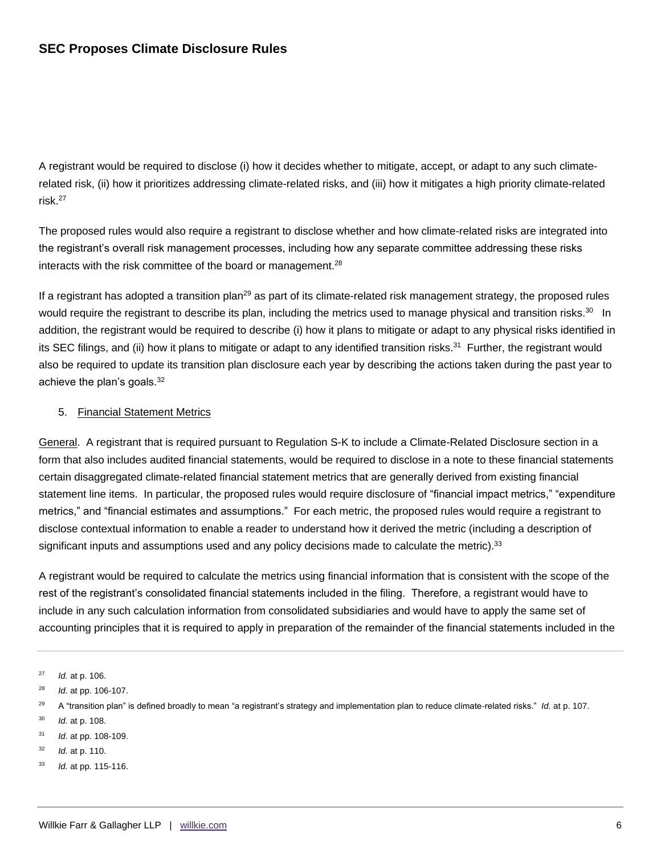A registrant would be required to disclose (i) how it decides whether to mitigate, accept, or adapt to any such climaterelated risk, (ii) how it prioritizes addressing climate-related risks, and (iii) how it mitigates a high priority climate-related risk.<sup>27</sup>

The proposed rules would also require a registrant to disclose whether and how climate-related risks are integrated into the registrant's overall risk management processes, including how any separate committee addressing these risks interacts with the risk committee of the board or management.<sup>28</sup>

If a registrant has adopted a transition plan<sup>29</sup> as part of its climate-related risk management strategy, the proposed rules would require the registrant to describe its plan, including the metrics used to manage physical and transition risks.<sup>30</sup> In addition, the registrant would be required to describe (i) how it plans to mitigate or adapt to any physical risks identified in its SEC filings, and (ii) how it plans to mitigate or adapt to any identified transition risks.<sup>31</sup> Further, the registrant would also be required to update its transition plan disclosure each year by describing the actions taken during the past year to achieve the plan's goals.<sup>32</sup>

## 5. Financial Statement Metrics

General. A registrant that is required pursuant to Regulation S-K to include a Climate-Related Disclosure section in a form that also includes audited financial statements, would be required to disclose in a note to these financial statements certain disaggregated climate-related financial statement metrics that are generally derived from existing financial statement line items. In particular, the proposed rules would require disclosure of "financial impact metrics," "expenditure metrics," and "financial estimates and assumptions." For each metric, the proposed rules would require a registrant to disclose contextual information to enable a reader to understand how it derived the metric (including a description of significant inputs and assumptions used and any policy decisions made to calculate the metric).  $33$ 

A registrant would be required to calculate the metrics using financial information that is consistent with the scope of the rest of the registrant's consolidated financial statements included in the filing. Therefore, a registrant would have to include in any such calculation information from consolidated subsidiaries and would have to apply the same set of accounting principles that it is required to apply in preparation of the remainder of the financial statements included in the

- 32 *Id.* at p. 110.
- 33 *Id.* at pp. 115-116.

<sup>27</sup> *Id.* at p. 106.

<sup>28</sup> *Id.* at pp. 106-107.

<sup>29</sup> A "transition plan" is defined broadly to mean "a registrant's strategy and implementation plan to reduce climate-related risks." *Id.* at p. 107.

<sup>30</sup> *Id.* at p. 108.

<sup>31</sup> *Id.* at pp. 108-109.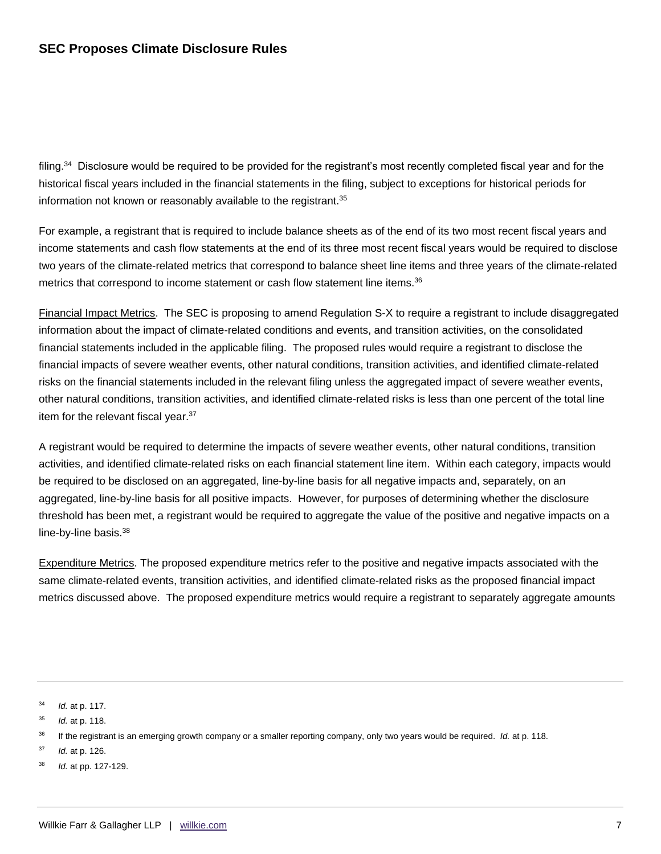filing.<sup>34</sup> Disclosure would be required to be provided for the registrant's most recently completed fiscal year and for the historical fiscal years included in the financial statements in the filing, subject to exceptions for historical periods for information not known or reasonably available to the registrant.<sup>35</sup>

For example, a registrant that is required to include balance sheets as of the end of its two most recent fiscal years and income statements and cash flow statements at the end of its three most recent fiscal years would be required to disclose two years of the climate-related metrics that correspond to balance sheet line items and three years of the climate-related metrics that correspond to income statement or cash flow statement line items.<sup>36</sup>

Financial Impact Metrics. The SEC is proposing to amend Regulation S-X to require a registrant to include disaggregated information about the impact of climate-related conditions and events, and transition activities, on the consolidated financial statements included in the applicable filing. The proposed rules would require a registrant to disclose the financial impacts of severe weather events, other natural conditions, transition activities, and identified climate-related risks on the financial statements included in the relevant filing unless the aggregated impact of severe weather events, other natural conditions, transition activities, and identified climate-related risks is less than one percent of the total line item for the relevant fiscal year.<sup>37</sup>

A registrant would be required to determine the impacts of severe weather events, other natural conditions, transition activities, and identified climate-related risks on each financial statement line item. Within each category, impacts would be required to be disclosed on an aggregated, line-by-line basis for all negative impacts and, separately, on an aggregated, line-by-line basis for all positive impacts. However, for purposes of determining whether the disclosure threshold has been met, a registrant would be required to aggregate the value of the positive and negative impacts on a line-by-line basis.<sup>38</sup>

Expenditure Metrics. The proposed expenditure metrics refer to the positive and negative impacts associated with the same climate-related events, transition activities, and identified climate-related risks as the proposed financial impact metrics discussed above. The proposed expenditure metrics would require a registrant to separately aggregate amounts

34 *Id.* at p. 117.

- <sup>37</sup> *Id.* at p. 126.
- 38 *Id.* at pp. 127-129.

<sup>35</sup> *Id.* at p. 118.

<sup>36</sup> If the registrant is an emerging growth company or a smaller reporting company, only two years would be required. *Id.* at p. 118.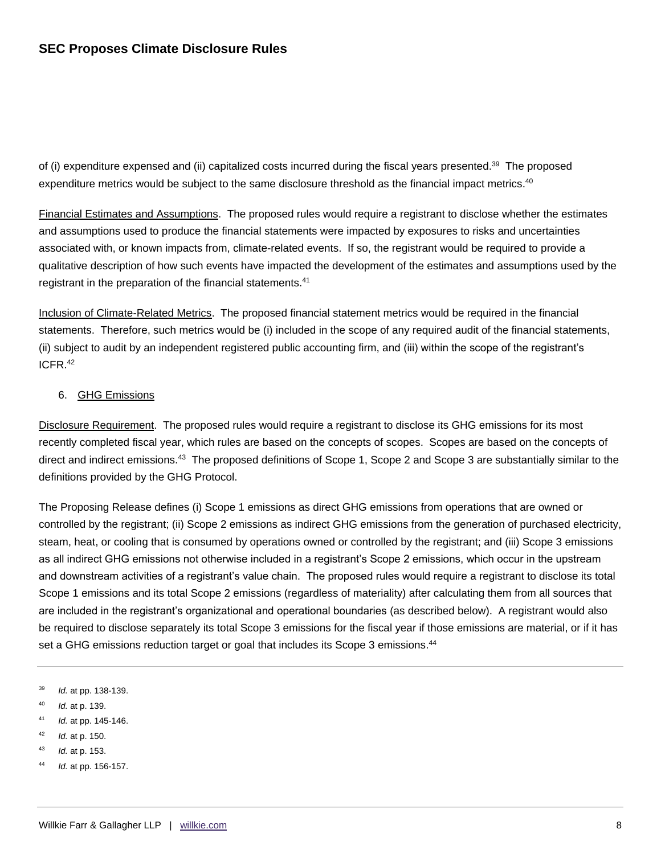of (i) expenditure expensed and (ii) capitalized costs incurred during the fiscal years presented.<sup>39</sup> The proposed expenditure metrics would be subject to the same disclosure threshold as the financial impact metrics.<sup>40</sup>

Financial Estimates and Assumptions. The proposed rules would require a registrant to disclose whether the estimates and assumptions used to produce the financial statements were impacted by exposures to risks and uncertainties associated with, or known impacts from, climate-related events. If so, the registrant would be required to provide a qualitative description of how such events have impacted the development of the estimates and assumptions used by the registrant in the preparation of the financial statements.<sup>41</sup>

Inclusion of Climate-Related Metrics. The proposed financial statement metrics would be required in the financial statements. Therefore, such metrics would be (i) included in the scope of any required audit of the financial statements, (ii) subject to audit by an independent registered public accounting firm, and (iii) within the scope of the registrant's ICFR.<sup>42</sup>

## 6. GHG Emissions

Disclosure Requirement. The proposed rules would require a registrant to disclose its GHG emissions for its most recently completed fiscal year, which rules are based on the concepts of scopes. Scopes are based on the concepts of direct and indirect emissions.<sup>43</sup> The proposed definitions of Scope 1, Scope 2 and Scope 3 are substantially similar to the definitions provided by the GHG Protocol.

The Proposing Release defines (i) Scope 1 emissions as direct GHG emissions from operations that are owned or controlled by the registrant; (ii) Scope 2 emissions as indirect GHG emissions from the generation of purchased electricity, steam, heat, or cooling that is consumed by operations owned or controlled by the registrant; and (iii) Scope 3 emissions as all indirect GHG emissions not otherwise included in a registrant's Scope 2 emissions, which occur in the upstream and downstream activities of a registrant's value chain. The proposed rules would require a registrant to disclose its total Scope 1 emissions and its total Scope 2 emissions (regardless of materiality) after calculating them from all sources that are included in the registrant's organizational and operational boundaries (as described below). A registrant would also be required to disclose separately its total Scope 3 emissions for the fiscal year if those emissions are material, or if it has set a GHG emissions reduction target or goal that includes its Scope 3 emissions.<sup>44</sup>

- <sup>39</sup> *Id.* at pp. 138-139.
- 40 *Id.* at p. 139.
- <sup>41</sup> *Id.* at pp. 145-146.
- <sup>42</sup> *Id.* at p. 150.
- <sup>43</sup> *Id.* at p. 153.
- <sup>44</sup> *Id.* at pp. 156-157.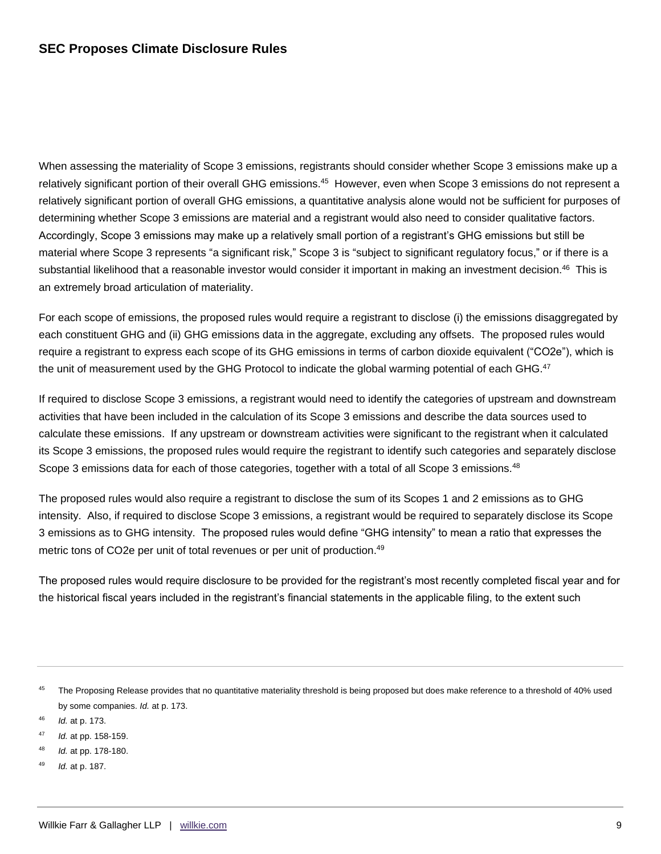When assessing the materiality of Scope 3 emissions, registrants should consider whether Scope 3 emissions make up a relatively significant portion of their overall GHG emissions.<sup>45</sup> However, even when Scope 3 emissions do not represent a relatively significant portion of overall GHG emissions, a quantitative analysis alone would not be sufficient for purposes of determining whether Scope 3 emissions are material and a registrant would also need to consider qualitative factors. Accordingly, Scope 3 emissions may make up a relatively small portion of a registrant's GHG emissions but still be material where Scope 3 represents "a significant risk," Scope 3 is "subject to significant regulatory focus," or if there is a substantial likelihood that a reasonable investor would consider it important in making an investment decision.<sup>46</sup> This is an extremely broad articulation of materiality.

For each scope of emissions, the proposed rules would require a registrant to disclose (i) the emissions disaggregated by each constituent GHG and (ii) GHG emissions data in the aggregate, excluding any offsets. The proposed rules would require a registrant to express each scope of its GHG emissions in terms of carbon dioxide equivalent ("CO2e"), which is the unit of measurement used by the GHG Protocol to indicate the global warming potential of each GHG.<sup>47</sup>

If required to disclose Scope 3 emissions, a registrant would need to identify the categories of upstream and downstream activities that have been included in the calculation of its Scope 3 emissions and describe the data sources used to calculate these emissions. If any upstream or downstream activities were significant to the registrant when it calculated its Scope 3 emissions, the proposed rules would require the registrant to identify such categories and separately disclose Scope 3 emissions data for each of those categories, together with a total of all Scope 3 emissions.<sup>48</sup>

The proposed rules would also require a registrant to disclose the sum of its Scopes 1 and 2 emissions as to GHG intensity. Also, if required to disclose Scope 3 emissions, a registrant would be required to separately disclose its Scope 3 emissions as to GHG intensity. The proposed rules would define "GHG intensity" to mean a ratio that expresses the metric tons of CO2e per unit of total revenues or per unit of production.<sup>49</sup>

The proposed rules would require disclosure to be provided for the registrant's most recently completed fiscal year and for the historical fiscal years included in the registrant's financial statements in the applicable filing, to the extent such

- <sup>46</sup> *Id.* at p. 173.
- <sup>47</sup> *Id.* at pp. 158-159.
- 48 *Id.* at pp. 178-180.
- 49 *Id.* at p. 187.

<sup>45</sup> The Proposing Release provides that no quantitative materiality threshold is being proposed but does make reference to a threshold of 40% used by some companies. *Id.* at p. 173.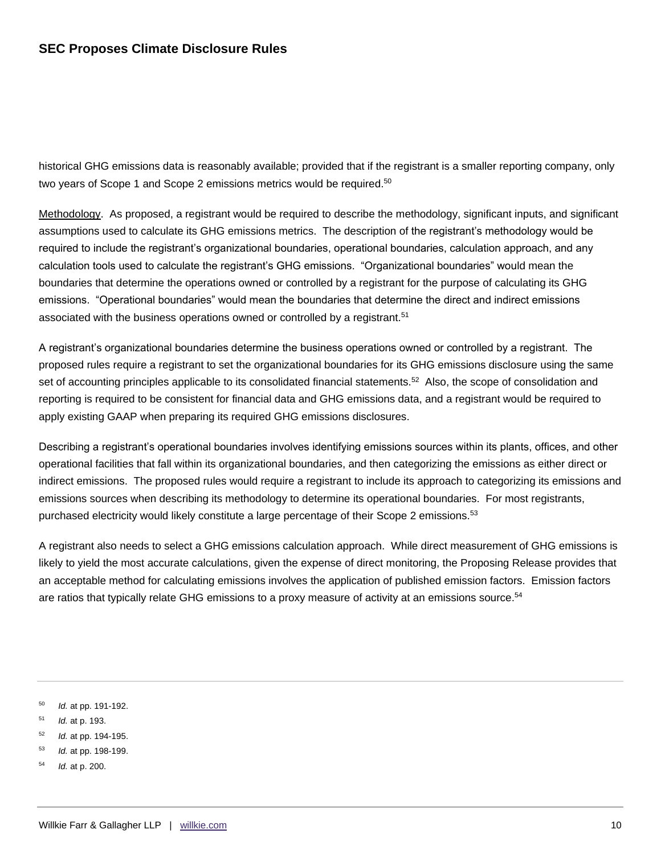historical GHG emissions data is reasonably available; provided that if the registrant is a smaller reporting company, only two years of Scope 1 and Scope 2 emissions metrics would be required.<sup>50</sup>

Methodology. As proposed, a registrant would be required to describe the methodology, significant inputs, and significant assumptions used to calculate its GHG emissions metrics. The description of the registrant's methodology would be required to include the registrant's organizational boundaries, operational boundaries, calculation approach, and any calculation tools used to calculate the registrant's GHG emissions. "Organizational boundaries" would mean the boundaries that determine the operations owned or controlled by a registrant for the purpose of calculating its GHG emissions. "Operational boundaries" would mean the boundaries that determine the direct and indirect emissions associated with the business operations owned or controlled by a registrant.<sup>51</sup>

A registrant's organizational boundaries determine the business operations owned or controlled by a registrant. The proposed rules require a registrant to set the organizational boundaries for its GHG emissions disclosure using the same set of accounting principles applicable to its consolidated financial statements.<sup>52</sup> Also, the scope of consolidation and reporting is required to be consistent for financial data and GHG emissions data, and a registrant would be required to apply existing GAAP when preparing its required GHG emissions disclosures.

Describing a registrant's operational boundaries involves identifying emissions sources within its plants, offices, and other operational facilities that fall within its organizational boundaries, and then categorizing the emissions as either direct or indirect emissions. The proposed rules would require a registrant to include its approach to categorizing its emissions and emissions sources when describing its methodology to determine its operational boundaries. For most registrants, purchased electricity would likely constitute a large percentage of their Scope 2 emissions.<sup>53</sup>

A registrant also needs to select a GHG emissions calculation approach. While direct measurement of GHG emissions is likely to yield the most accurate calculations, given the expense of direct monitoring, the Proposing Release provides that an acceptable method for calculating emissions involves the application of published emission factors. Emission factors are ratios that typically relate GHG emissions to a proxy measure of activity at an emissions source.<sup>54</sup>

<sup>50</sup> *Id.* at pp. 191-192.

- <sup>51</sup> *Id.* at p. 193.
- <sup>52</sup> *Id.* at pp. 194-195.
- <sup>53</sup> *Id.* at pp. 198-199.
- <sup>54</sup> *Id.* at p. 200.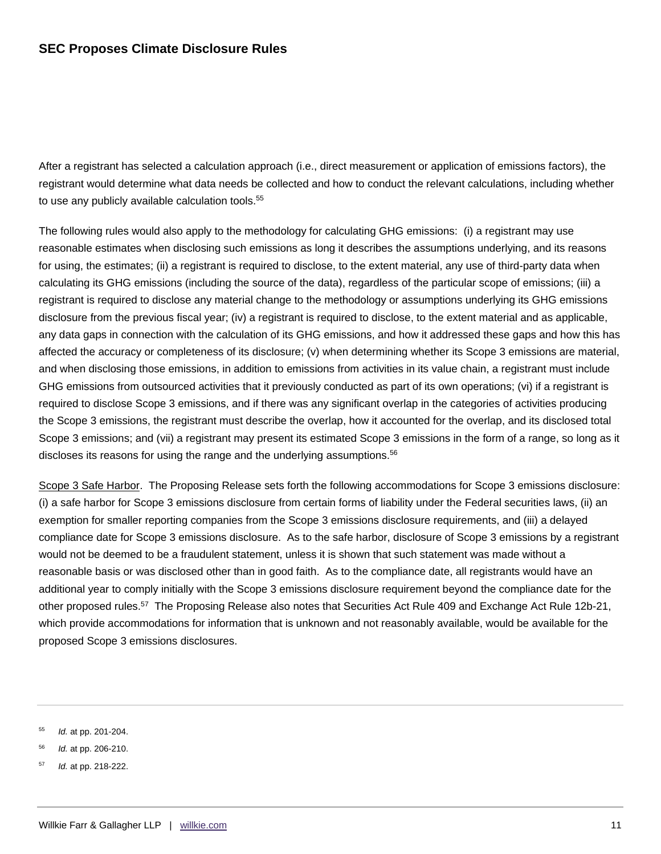After a registrant has selected a calculation approach (i.e., direct measurement or application of emissions factors), the registrant would determine what data needs be collected and how to conduct the relevant calculations, including whether to use any publicly available calculation tools.<sup>55</sup>

The following rules would also apply to the methodology for calculating GHG emissions: (i) a registrant may use reasonable estimates when disclosing such emissions as long it describes the assumptions underlying, and its reasons for using, the estimates; (ii) a registrant is required to disclose, to the extent material, any use of third-party data when calculating its GHG emissions (including the source of the data), regardless of the particular scope of emissions; (iii) a registrant is required to disclose any material change to the methodology or assumptions underlying its GHG emissions disclosure from the previous fiscal year; (iv) a registrant is required to disclose, to the extent material and as applicable, any data gaps in connection with the calculation of its GHG emissions, and how it addressed these gaps and how this has affected the accuracy or completeness of its disclosure; (v) when determining whether its Scope 3 emissions are material, and when disclosing those emissions, in addition to emissions from activities in its value chain, a registrant must include GHG emissions from outsourced activities that it previously conducted as part of its own operations; (vi) if a registrant is required to disclose Scope 3 emissions, and if there was any significant overlap in the categories of activities producing the Scope 3 emissions, the registrant must describe the overlap, how it accounted for the overlap, and its disclosed total Scope 3 emissions; and (vii) a registrant may present its estimated Scope 3 emissions in the form of a range, so long as it discloses its reasons for using the range and the underlying assumptions.<sup>56</sup>

Scope 3 Safe Harbor. The Proposing Release sets forth the following accommodations for Scope 3 emissions disclosure: (i) a safe harbor for Scope 3 emissions disclosure from certain forms of liability under the Federal securities laws, (ii) an exemption for smaller reporting companies from the Scope 3 emissions disclosure requirements, and (iii) a delayed compliance date for Scope 3 emissions disclosure. As to the safe harbor, disclosure of Scope 3 emissions by a registrant would not be deemed to be a fraudulent statement, unless it is shown that such statement was made without a reasonable basis or was disclosed other than in good faith. As to the compliance date, all registrants would have an additional year to comply initially with the Scope 3 emissions disclosure requirement beyond the compliance date for the other proposed rules.<sup>57</sup> The Proposing Release also notes that Securities Act Rule 409 and Exchange Act Rule 12b-21, which provide accommodations for information that is unknown and not reasonably available, would be available for the proposed Scope 3 emissions disclosures.

57 *Id.* at pp. 218-222.

<sup>55</sup> *Id.* at pp. 201-204.

<sup>56</sup> *Id.* at pp. 206-210.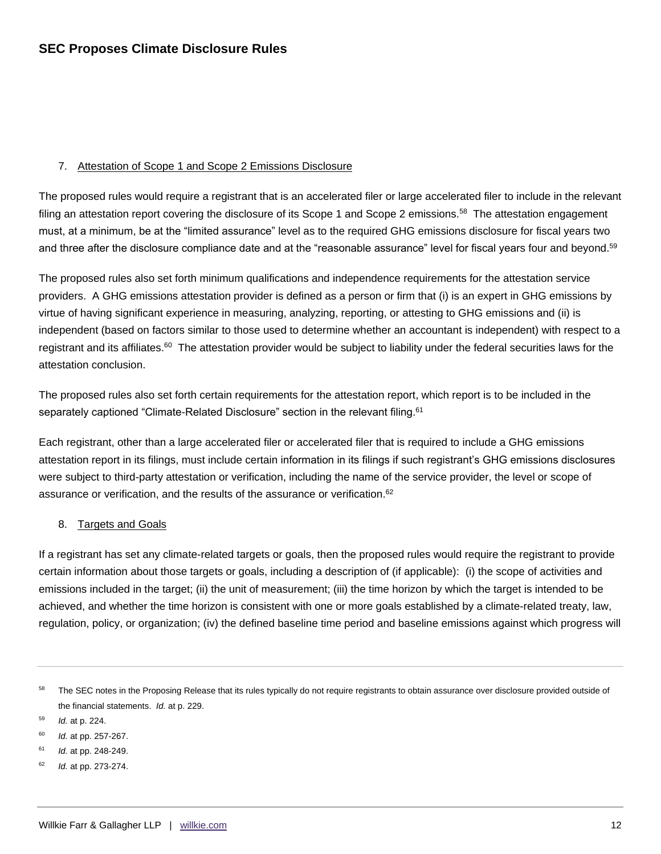## 7. Attestation of Scope 1 and Scope 2 Emissions Disclosure

The proposed rules would require a registrant that is an accelerated filer or large accelerated filer to include in the relevant filing an attestation report covering the disclosure of its Scope 1 and Scope 2 emissions.<sup>58</sup> The attestation engagement must, at a minimum, be at the "limited assurance" level as to the required GHG emissions disclosure for fiscal years two and three after the disclosure compliance date and at the "reasonable assurance" level for fiscal years four and beyond.<sup>59</sup>

The proposed rules also set forth minimum qualifications and independence requirements for the attestation service providers. A GHG emissions attestation provider is defined as a person or firm that (i) is an expert in GHG emissions by virtue of having significant experience in measuring, analyzing, reporting, or attesting to GHG emissions and (ii) is independent (based on factors similar to those used to determine whether an accountant is independent) with respect to a registrant and its affiliates.<sup>60</sup> The attestation provider would be subject to liability under the federal securities laws for the attestation conclusion.

The proposed rules also set forth certain requirements for the attestation report, which report is to be included in the separately captioned "Climate-Related Disclosure" section in the relevant filing.<sup>61</sup>

Each registrant, other than a large accelerated filer or accelerated filer that is required to include a GHG emissions attestation report in its filings, must include certain information in its filings if such registrant's GHG emissions disclosures were subject to third-party attestation or verification, including the name of the service provider, the level or scope of assurance or verification, and the results of the assurance or verification.<sup>62</sup>

#### 8. Targets and Goals

If a registrant has set any climate-related targets or goals, then the proposed rules would require the registrant to provide certain information about those targets or goals, including a description of (if applicable): (i) the scope of activities and emissions included in the target; (ii) the unit of measurement; (iii) the time horizon by which the target is intended to be achieved, and whether the time horizon is consistent with one or more goals established by a climate-related treaty, law, regulation, policy, or organization; (iv) the defined baseline time period and baseline emissions against which progress will

<sup>58</sup> The SEC notes in the Proposing Release that its rules typically do not require registrants to obtain assurance over disclosure provided outside of the financial statements. *Id.* at p. 229.

<sup>59</sup> *Id.* at p. 224.

<sup>60</sup> *Id.* at pp. 257-267.

<sup>61</sup> *Id.* at pp. 248-249.

<sup>62</sup> *Id.* at pp. 273-274.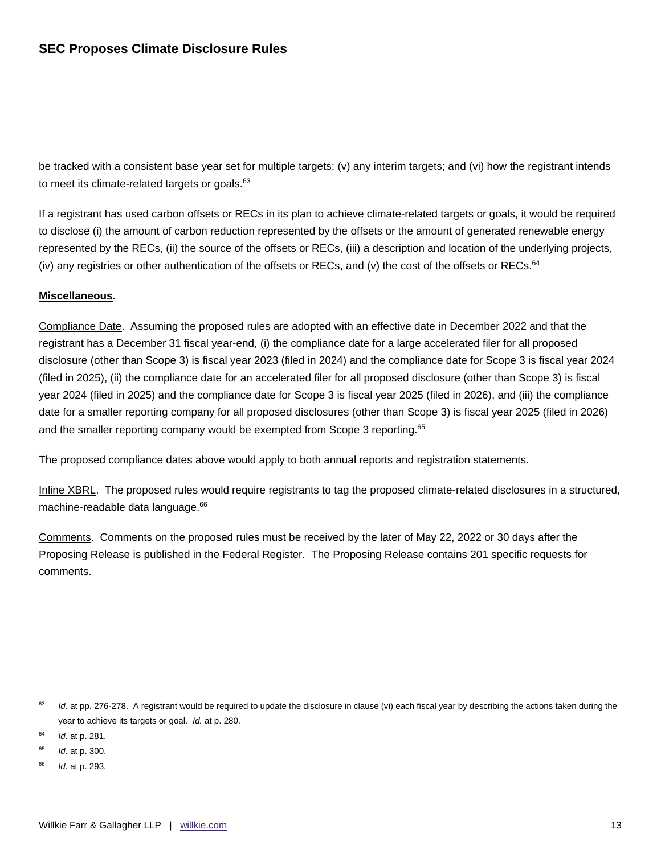be tracked with a consistent base year set for multiple targets; (v) any interim targets; and (vi) how the registrant intends to meet its climate-related targets or goals. $63$ 

If a registrant has used carbon offsets or RECs in its plan to achieve climate-related targets or goals, it would be required to disclose (i) the amount of carbon reduction represented by the offsets or the amount of generated renewable energy represented by the RECs, (ii) the source of the offsets or RECs, (iii) a description and location of the underlying projects, (iv) any registries or other authentication of the offsets or RECs, and (v) the cost of the offsets or RECs.<sup>64</sup>

## **Miscellaneous.**

Compliance Date. Assuming the proposed rules are adopted with an effective date in December 2022 and that the registrant has a December 31 fiscal year-end, (i) the compliance date for a large accelerated filer for all proposed disclosure (other than Scope 3) is fiscal year 2023 (filed in 2024) and the compliance date for Scope 3 is fiscal year 2024 (filed in 2025), (ii) the compliance date for an accelerated filer for all proposed disclosure (other than Scope 3) is fiscal year 2024 (filed in 2025) and the compliance date for Scope 3 is fiscal year 2025 (filed in 2026), and (iii) the compliance date for a smaller reporting company for all proposed disclosures (other than Scope 3) is fiscal year 2025 (filed in 2026) and the smaller reporting company would be exempted from Scope 3 reporting.<sup>65</sup>

The proposed compliance dates above would apply to both annual reports and registration statements.

Inline XBRL. The proposed rules would require registrants to tag the proposed climate-related disclosures in a structured, machine-readable data language.<sup>66</sup>

Comments. Comments on the proposed rules must be received by the later of May 22, 2022 or 30 days after the Proposing Release is published in the Federal Register. The Proposing Release contains 201 specific requests for comments.

63 *Id.* at pp. 276-278. A registrant would be required to update the disclosure in clause (vi) each fiscal year by describing the actions taken during the year to achieve its targets or goal. *Id.* at p. 280.

64 *Id.* at p. 281.

65 *Id.* at p. 300.

66 *Id.* at p. 293.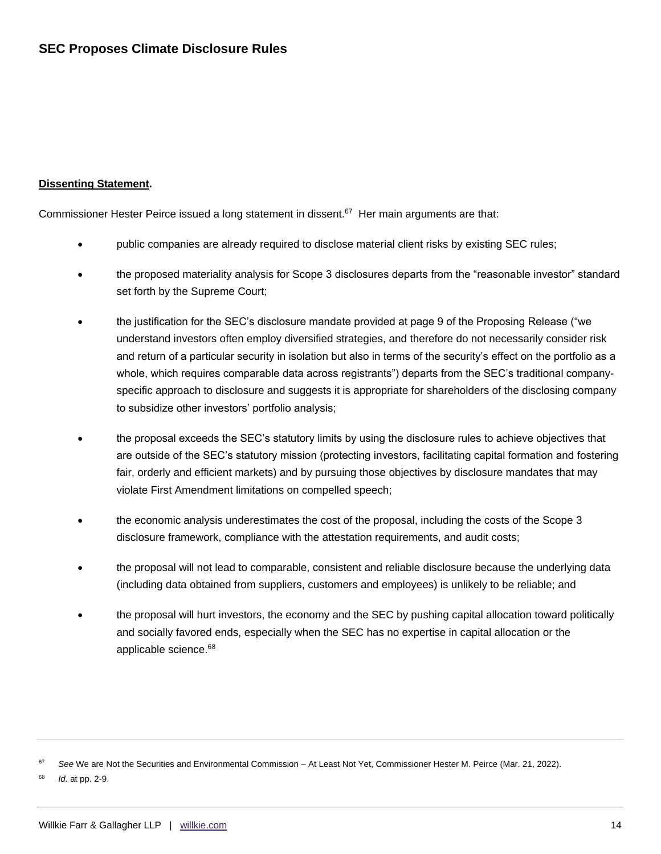## **Dissenting Statement.**

Commissioner Hester Peirce issued a long statement in dissent.<sup>67</sup> Her main arguments are that:

- public companies are already required to disclose material client risks by existing SEC rules;
- the proposed materiality analysis for Scope 3 disclosures departs from the "reasonable investor" standard set forth by the Supreme Court;
- the justification for the SEC's disclosure mandate provided at page 9 of the Proposing Release ("we understand investors often employ diversified strategies, and therefore do not necessarily consider risk and return of a particular security in isolation but also in terms of the security's effect on the portfolio as a whole, which requires comparable data across registrants") departs from the SEC's traditional companyspecific approach to disclosure and suggests it is appropriate for shareholders of the disclosing company to subsidize other investors' portfolio analysis;
- the proposal exceeds the SEC's statutory limits by using the disclosure rules to achieve objectives that are outside of the SEC's statutory mission (protecting investors, facilitating capital formation and fostering fair, orderly and efficient markets) and by pursuing those objectives by disclosure mandates that may violate First Amendment limitations on compelled speech;
- the economic analysis underestimates the cost of the proposal, including the costs of the Scope 3 disclosure framework, compliance with the attestation requirements, and audit costs;
- the proposal will not lead to comparable, consistent and reliable disclosure because the underlying data (including data obtained from suppliers, customers and employees) is unlikely to be reliable; and
- the proposal will hurt investors, the economy and the SEC by pushing capital allocation toward politically and socially favored ends, especially when the SEC has no expertise in capital allocation or the applicable science. 68

<sup>67</sup> *See* We are Not the Securities and Environmental Commission – At Least Not Yet, Commissioner Hester M. Peirce (Mar. 21, 2022).

<sup>68</sup> *Id.* at pp. 2-9.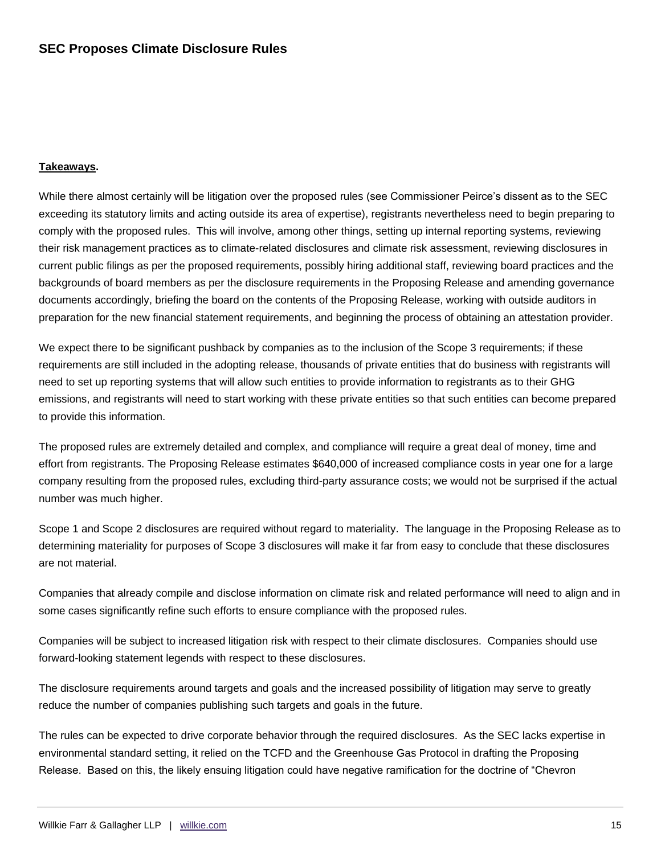#### **Takeaways.**

While there almost certainly will be litigation over the proposed rules (see Commissioner Peirce's dissent as to the SEC exceeding its statutory limits and acting outside its area of expertise), registrants nevertheless need to begin preparing to comply with the proposed rules. This will involve, among other things, setting up internal reporting systems, reviewing their risk management practices as to climate-related disclosures and climate risk assessment, reviewing disclosures in current public filings as per the proposed requirements, possibly hiring additional staff, reviewing board practices and the backgrounds of board members as per the disclosure requirements in the Proposing Release and amending governance documents accordingly, briefing the board on the contents of the Proposing Release, working with outside auditors in preparation for the new financial statement requirements, and beginning the process of obtaining an attestation provider.

We expect there to be significant pushback by companies as to the inclusion of the Scope 3 requirements; if these requirements are still included in the adopting release, thousands of private entities that do business with registrants will need to set up reporting systems that will allow such entities to provide information to registrants as to their GHG emissions, and registrants will need to start working with these private entities so that such entities can become prepared to provide this information.

The proposed rules are extremely detailed and complex, and compliance will require a great deal of money, time and effort from registrants. The Proposing Release estimates \$640,000 of increased compliance costs in year one for a large company resulting from the proposed rules, excluding third-party assurance costs; we would not be surprised if the actual number was much higher.

Scope 1 and Scope 2 disclosures are required without regard to materiality. The language in the Proposing Release as to determining materiality for purposes of Scope 3 disclosures will make it far from easy to conclude that these disclosures are not material.

Companies that already compile and disclose information on climate risk and related performance will need to align and in some cases significantly refine such efforts to ensure compliance with the proposed rules.

Companies will be subject to increased litigation risk with respect to their climate disclosures. Companies should use forward-looking statement legends with respect to these disclosures.

The disclosure requirements around targets and goals and the increased possibility of litigation may serve to greatly reduce the number of companies publishing such targets and goals in the future.

The rules can be expected to drive corporate behavior through the required disclosures. As the SEC lacks expertise in environmental standard setting, it relied on the TCFD and the Greenhouse Gas Protocol in drafting the Proposing Release. Based on this, the likely ensuing litigation could have negative ramification for the doctrine of "Chevron